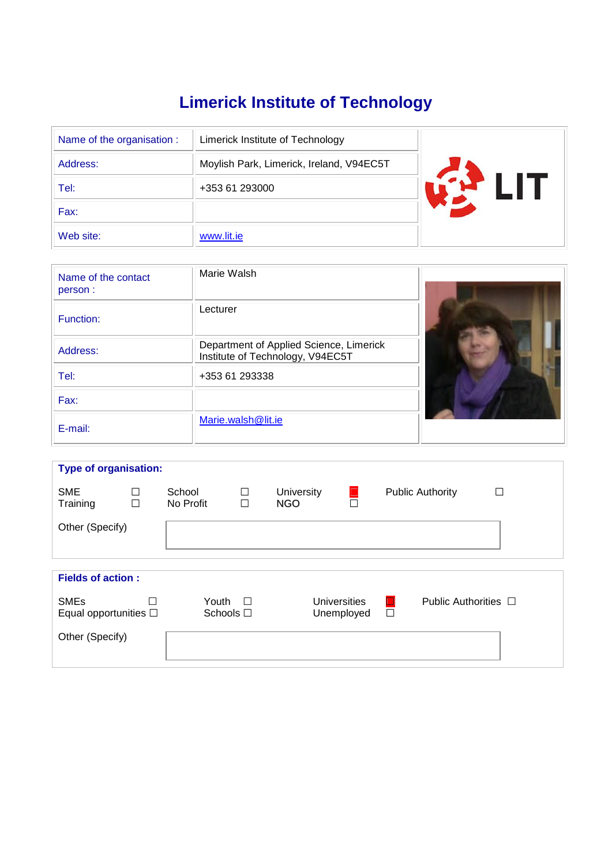# **Limerick Institute of Technology**

| Name of the organisation : | Limerick Institute of Technology         |  |  |  |  |
|----------------------------|------------------------------------------|--|--|--|--|
| Address:                   | Moylish Park, Limerick, Ireland, V94EC5T |  |  |  |  |
| Tel:                       | +353 61 293000                           |  |  |  |  |
| Fax:                       |                                          |  |  |  |  |
| Web site:                  | www.lit.ie                               |  |  |  |  |

| Name of the contact<br>person: | Marie Walsh                                                                 |  |
|--------------------------------|-----------------------------------------------------------------------------|--|
| Function:                      | Lecturer                                                                    |  |
| Address:                       | Department of Applied Science, Limerick<br>Institute of Technology, V94EC5T |  |
| Tel:                           | +353 61 293338                                                              |  |
| Fax:                           |                                                                             |  |
| E-mail:                        | Marie.walsh@lit.ie                                                          |  |

| <b>Type of organisation:</b> |        |           |        |            |                     |                         |                           |   |  |
|------------------------------|--------|-----------|--------|------------|---------------------|-------------------------|---------------------------|---|--|
|                              |        |           |        |            |                     |                         |                           |   |  |
| <b>SME</b>                   | □      | School    | □      | University |                     | <b>Public Authority</b> |                           | П |  |
| Training                     | $\Box$ | No Profit | $\Box$ | <b>NGO</b> | $\Box$              |                         |                           |   |  |
|                              |        |           |        |            |                     |                         |                           |   |  |
|                              |        |           |        |            |                     |                         |                           |   |  |
| Other (Specify)              |        |           |        |            |                     |                         |                           |   |  |
|                              |        |           |        |            |                     |                         |                           |   |  |
|                              |        |           |        |            |                     |                         |                           |   |  |
|                              |        |           |        |            |                     |                         |                           |   |  |
| <b>Fields of action:</b>     |        |           |        |            |                     |                         |                           |   |  |
|                              |        |           |        |            |                     |                         |                           |   |  |
| <b>SMEs</b>                  | П      | Youth     | $\Box$ |            | <b>Universities</b> | $\Box$                  | Public Authorities $\Box$ |   |  |
| Equal opportunities $\Box$   |        | Schools □ |        |            | Unemployed          | $\Box$                  |                           |   |  |
|                              |        |           |        |            |                     |                         |                           |   |  |
|                              |        |           |        |            |                     |                         |                           |   |  |
| Other (Specify)              |        |           |        |            |                     |                         |                           |   |  |
|                              |        |           |        |            |                     |                         |                           |   |  |
|                              |        |           |        |            |                     |                         |                           |   |  |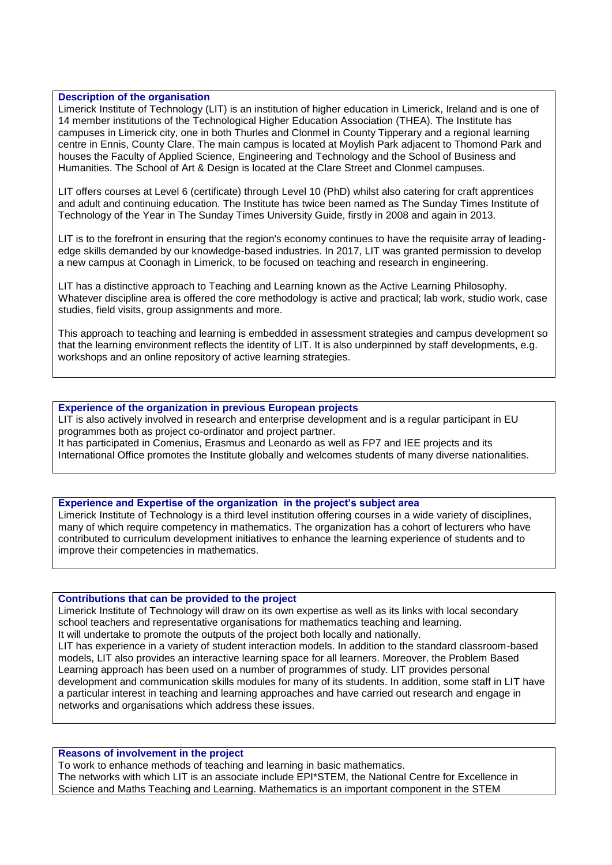# **Description of the organisation**

Limerick Institute of Technology (LIT) is an institution of higher education in Limerick, Ireland and is one of 14 member institutions of the Technological Higher Education Association (THEA). The Institute has campuses in Limerick city, one in both Thurles and Clonmel in County Tipperary and a regional learning centre in Ennis, County Clare. The main campus is located at Moylish Park adjacent to Thomond Park and houses the Faculty of Applied Science, Engineering and Technology and the School of Business and Humanities. The School of Art & Design is located at the Clare Street and Clonmel campuses.

LIT offers courses at Level 6 (certificate) through Level 10 (PhD) whilst also catering for craft apprentices and adult and continuing education. The Institute has twice been named as The Sunday Times Institute of Technology of the Year in The Sunday Times University Guide, firstly in 2008 and again in 2013.

LIT is to the forefront in ensuring that the region's economy continues to have the requisite array of leadingedge skills demanded by our knowledge-based industries. In 2017, LIT was granted permission to develop a new campus at Coonagh in Limerick, to be focused on teaching and research in engineering.

LIT has a distinctive approach to Teaching and Learning known as the Active Learning Philosophy. Whatever discipline area is offered the core methodology is active and practical; lab work, studio work, case studies, field visits, group assignments and more.

This approach to teaching and learning is embedded in assessment strategies and campus development so that the learning environment reflects the identity of LIT. It is also underpinned by staff developments, e.g. workshops and an online repository of active learning strategies.

#### **Experience of the organization in previous European projects**

LIT is also actively involved in research and enterprise development and is a regular participant in EU programmes both as project co-ordinator and project partner. It has participated in Comenius, Erasmus and Leonardo as well as FP7 and IEE projects and its International Office promotes the Institute globally and welcomes students of many diverse nationalities.

# **Experience and Expertise of the organization in the project's subject area**

Limerick Institute of Technology is a third level institution offering courses in a wide variety of disciplines, many of which require competency in mathematics. The organization has a cohort of lecturers who have contributed to curriculum development initiatives to enhance the learning experience of students and to improve their competencies in mathematics.

#### **Contributions that can be provided to the project**

Limerick Institute of Technology will draw on its own expertise as well as its links with local secondary school teachers and representative organisations for mathematics teaching and learning. It will undertake to promote the outputs of the project both locally and nationally. LIT has experience in a variety of student interaction models. In addition to the standard classroom-based models, LIT also provides an interactive learning space for all learners. Moreover, the Problem Based Learning approach has been used on a number of programmes of study. LIT provides personal development and communication skills modules for many of its students. In addition, some staff in LIT have a particular interest in teaching and learning approaches and have carried out research and engage in networks and organisations which address these issues.

#### **Reasons of involvement in the project**

To work to enhance methods of teaching and learning in basic mathematics. The networks with which LIT is an associate include EPI\*STEM, the National Centre for Excellence in Science and Maths Teaching and Learning. Mathematics is an important component in the STEM